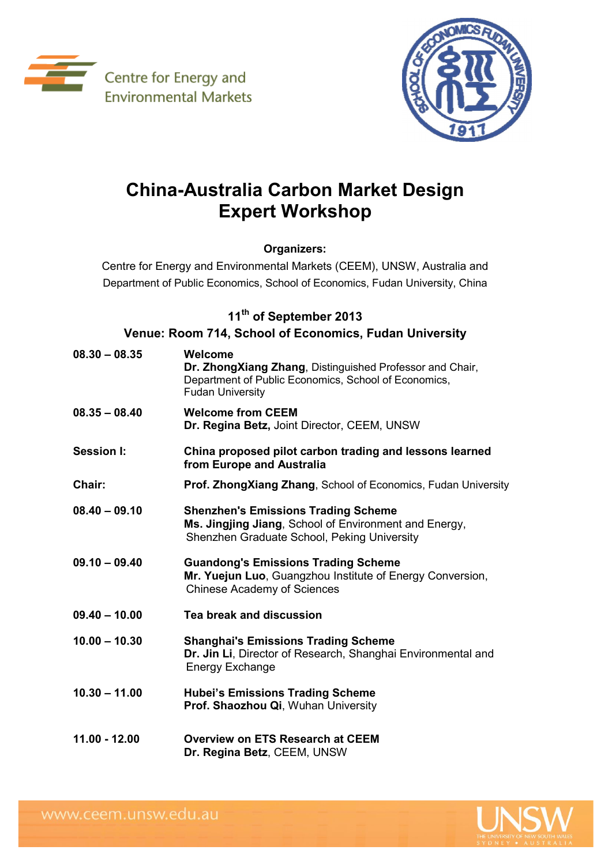



## **China-Australia Carbon Market Design Expert Workshop**

## **Organizers:**

Centre for Energy and Environmental Markets (CEEM), UNSW, Australia and Department of Public Economics, School of Economics, Fudan University, China

## **11th of September 2013**

**Venue: Room 714, School of Economics, Fudan University**

| $08.30 - 08.35$ | Welcome<br>Dr. ZhongXiang Zhang, Distinguished Professor and Chair,<br>Department of Public Economics, School of Economics,<br><b>Fudan University</b> |
|-----------------|--------------------------------------------------------------------------------------------------------------------------------------------------------|
| $08.35 - 08.40$ | <b>Welcome from CEEM</b><br>Dr. Regina Betz, Joint Director, CEEM, UNSW                                                                                |
| Session I:      | China proposed pilot carbon trading and lessons learned<br>from Europe and Australia                                                                   |
| Chair:          | <b>Prof. ZhongXiang Zhang, School of Economics, Fudan University</b>                                                                                   |
| $08.40 - 09.10$ | <b>Shenzhen's Emissions Trading Scheme</b><br>Ms. Jingjing Jiang, School of Environment and Energy,<br>Shenzhen Graduate School, Peking University     |
| $09.10 - 09.40$ | <b>Guandong's Emissions Trading Scheme</b><br>Mr. Yuejun Luo, Guangzhou Institute of Energy Conversion,<br><b>Chinese Academy of Sciences</b>          |
| $09.40 - 10.00$ | Tea break and discussion                                                                                                                               |
| $10.00 - 10.30$ | <b>Shanghai's Emissions Trading Scheme</b><br>Dr. Jin Li, Director of Research, Shanghai Environmental and<br><b>Energy Exchange</b>                   |
| $10.30 - 11.00$ | <b>Hubei's Emissions Trading Scheme</b><br>Prof. Shaozhou Qi, Wuhan University                                                                         |
| 11.00 - 12.00   | <b>Overview on ETS Research at CEEM</b><br>Dr. Regina Betz, CEEM, UNSW                                                                                 |